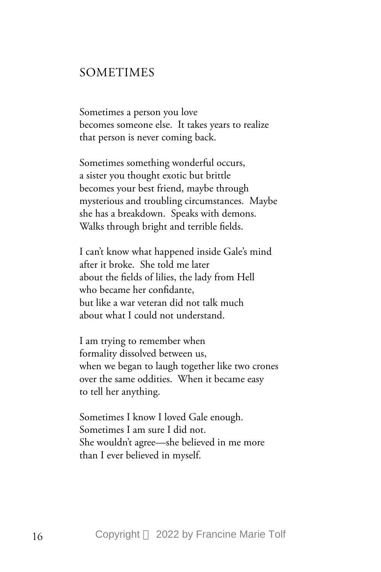## SOMETIMES

Sometimes a person you love becomes someone else. It takes years to realize that person is never coming back.

Sometimes something wonderful occurs, a sister you thought exotic but brittle becomes your best friend, maybe through mysterious and troubling circumstances. Maybe she has a breakdown. Speaks with demons. Walks through bright and terrible fields.

I can't know what happened inside Gale's mind after it broke. She told me later about the fields of lilies, the lady from Hell who became her confidante, but like a war veteran did not talk much about what I could not understand.

I am trying to remember when formality dissolved between us, when we began to laugh together like two crones over the same oddities. When it became easy to tell her anything.

Sometimes I know I loved Gale enough. Sometimes I am sure I did not. She wouldn't agree—she believed in me more than I ever believed in myself.